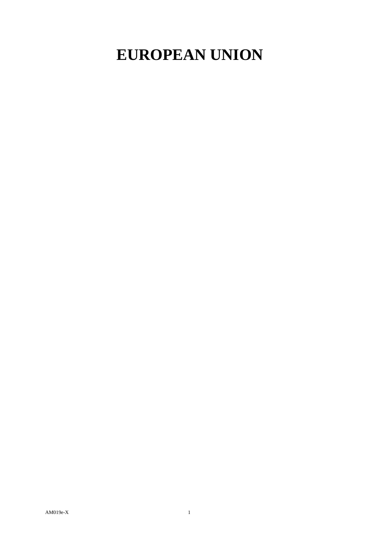## **EUROPEAN UNION**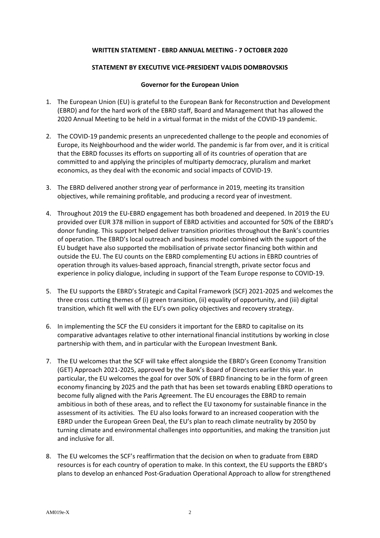## **WRITTEN STATEMENT - EBRD ANNUAL MEETING - 7 OCTOBER 2020**

## **STATEMENT BY EXECUTIVE VICE-PRESIDENT VALDIS DOMBROVSKIS**

## **Governor for the European Union**

- 1. The European Union (EU) is grateful to the European Bank for Reconstruction and Development (EBRD) and for the hard work of the EBRD staff, Board and Management that has allowed the 2020 Annual Meeting to be held in a virtual format in the midst of the COVID-19 pandemic.
- 2. The COVID-19 pandemic presents an unprecedented challenge to the people and economies of Europe, its Neighbourhood and the wider world. The pandemic is far from over, and it is critical that the EBRD focusses its efforts on supporting all of its countries of operation that are committed to and applying the principles of multiparty democracy, pluralism and market economics, as they deal with the economic and social impacts of COVID-19.
- 3. The EBRD delivered another strong year of performance in 2019, meeting its transition objectives, while remaining profitable, and producing a record year of investment.
- 4. Throughout 2019 the EU-EBRD engagement has both broadened and deepened. In 2019 the EU provided over EUR 378 million in support of EBRD activities and accounted for 50% of the EBRD's donor funding. This support helped deliver transition priorities throughout the Bank's countries of operation. The EBRD's local outreach and business model combined with the support of the EU budget have also supported the mobilisation of private sector financing both within and outside the EU. The EU counts on the EBRD complementing EU actions in EBRD countries of operation through its values-based approach, financial strength, private sector focus and experience in policy dialogue, including in support of the Team Europe response to COVID-19.
- 5. The EU supports the EBRD's Strategic and Capital Framework (SCF) 2021-2025 and welcomes the three cross cutting themes of (i) green transition, (ii) equality of opportunity, and (iii) digital transition, which fit well with the EU's own policy objectives and recovery strategy.
- 6. In implementing the SCF the EU considers it important for the EBRD to capitalise on its comparative advantages relative to other international financial institutions by working in close partnership with them, and in particular with the European Investment Bank.
- 7. The EU welcomes that the SCF will take effect alongside the EBRD's Green Economy Transition (GET) Approach 2021-2025, approved by the Bank's Board of Directors earlier this year. In particular, the EU welcomes the goal for over 50% of EBRD financing to be in the form of green economy financing by 2025 and the path that has been set towards enabling EBRD operations to become fully aligned with the Paris Agreement. The EU encourages the EBRD to remain ambitious in both of these areas, and to reflect the EU taxonomy for sustainable finance in the assessment of its activities. The EU also looks forward to an increased cooperation with the EBRD under the European Green Deal, the EU's plan to reach climate neutrality by 2050 by turning climate and environmental challenges into opportunities, and making the transition just and inclusive for all.
- 8. The EU welcomes the SCF's reaffirmation that the decision on when to graduate from EBRD resources is for each country of operation to make. In this context, the EU supports the EBRD's plans to develop an enhanced Post-Graduation Operational Approach to allow for strengthened